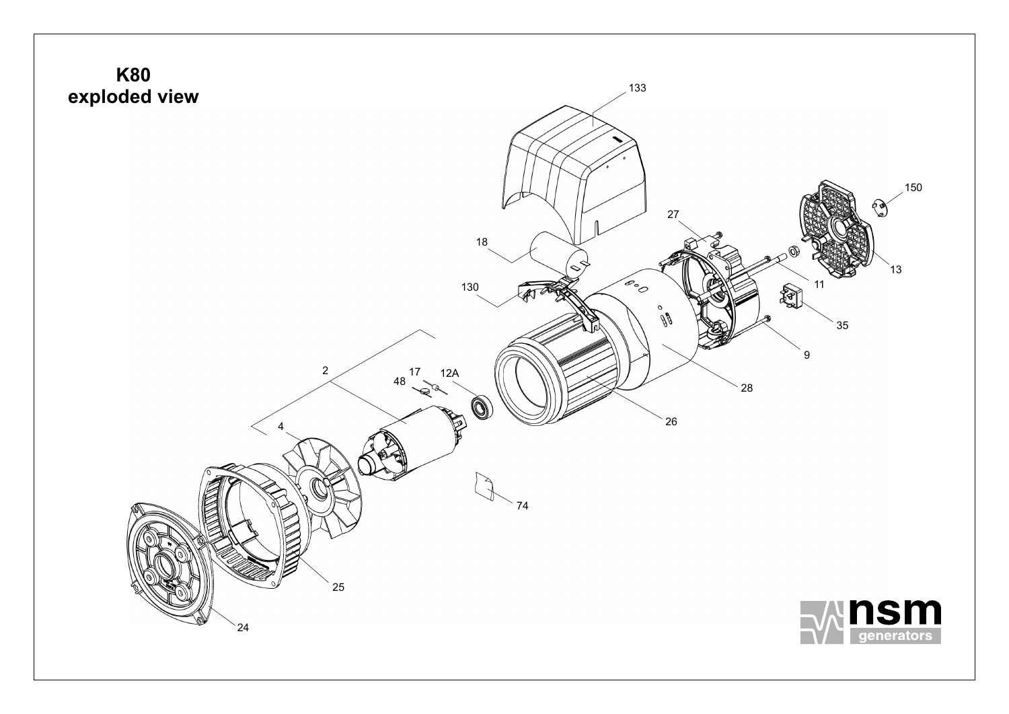